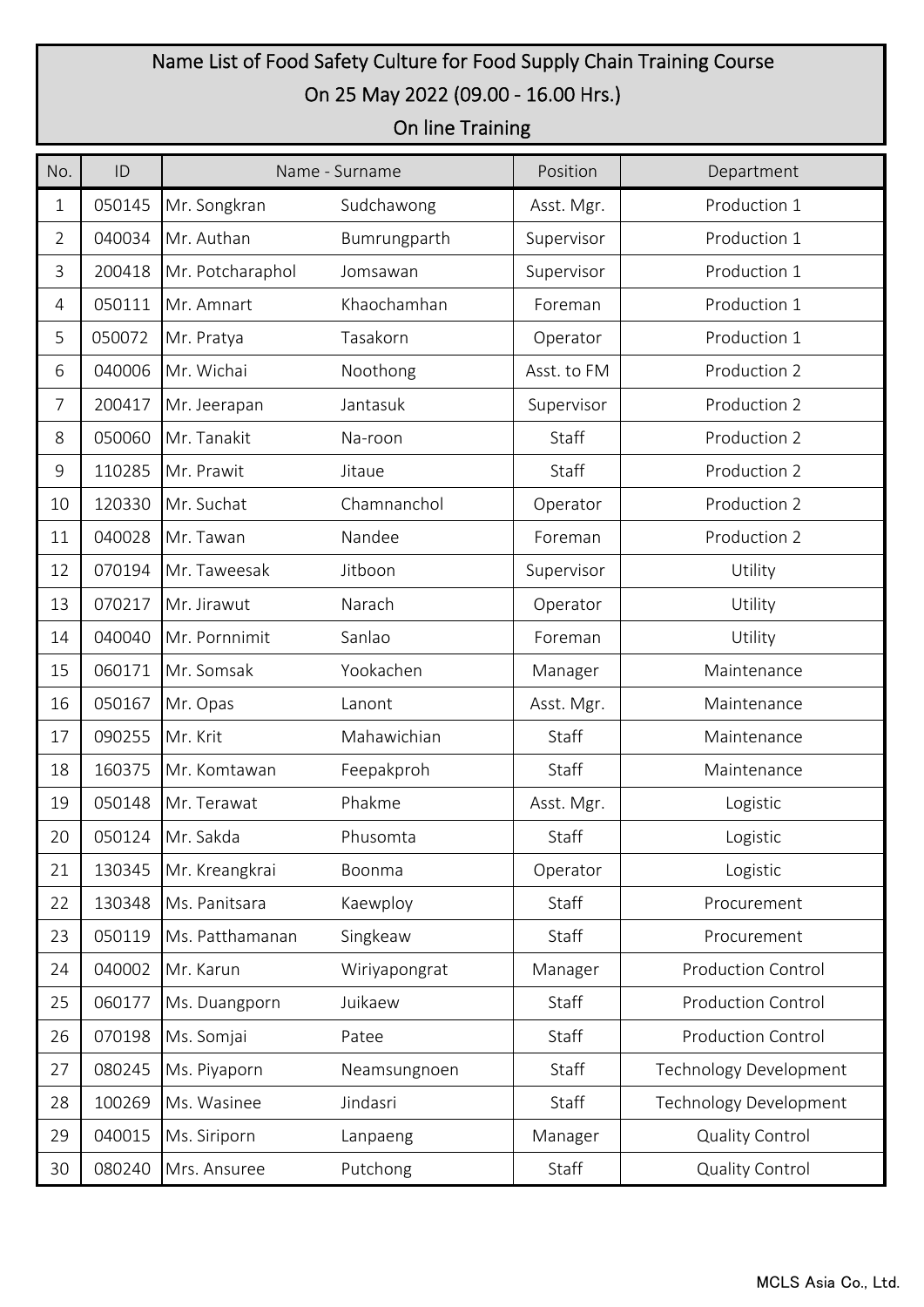## Name List of Food Safety Culture for Food Supply Chain Training Course On 25 May 2022 (09.00 - 16.00 Hrs.)

## On line Training

| No.            | ID     | Name - Surname   |               | Position    | Department                    |
|----------------|--------|------------------|---------------|-------------|-------------------------------|
| 1              | 050145 | Mr. Songkran     | Sudchawong    | Asst. Mgr.  | Production 1                  |
| $\overline{2}$ | 040034 | Mr. Authan       | Bumrungparth  | Supervisor  | Production 1                  |
| 3              | 200418 | Mr. Potcharaphol | Jomsawan      | Supervisor  | Production 1                  |
| $\overline{4}$ | 050111 | Mr. Amnart       | Khaochamhan   | Foreman     | Production 1                  |
| 5              | 050072 | Mr. Pratya       | Tasakorn      | Operator    | Production 1                  |
| 6              | 040006 | Mr. Wichai       | Noothong      | Asst. to FM | Production 2                  |
| 7              | 200417 | Mr. Jeerapan     | Jantasuk      | Supervisor  | Production 2                  |
| 8              | 050060 | Mr. Tanakit      | Na-roon       | Staff       | Production 2                  |
| $\mathsf 9$    | 110285 | Mr. Prawit       | Jitaue        | Staff       | Production 2                  |
| 10             | 120330 | Mr. Suchat       | Chamnanchol   | Operator    | Production 2                  |
| 11             | 040028 | Mr. Tawan        | Nandee        | Foreman     | Production 2                  |
| 12             | 070194 | Mr. Taweesak     | Jitboon       | Supervisor  | Utility                       |
| 13             | 070217 | Mr. Jirawut      | Narach        | Operator    | Utility                       |
| 14             | 040040 | Mr. Pornnimit    | Sanlao        | Foreman     | Utility                       |
| 15             | 060171 | Mr. Somsak       | Yookachen     | Manager     | Maintenance                   |
| 16             | 050167 | Mr. Opas         | Lanont        | Asst. Mgr.  | Maintenance                   |
| 17             | 090255 | Mr. Krit         | Mahawichian   | Staff       | Maintenance                   |
| 18             | 160375 | Mr. Komtawan     | Feepakproh    | Staff       | Maintenance                   |
| 19             | 050148 | Mr. Terawat      | Phakme        | Asst. Mgr.  | Logistic                      |
| 20             | 050124 | Mr. Sakda        | Phusomta      | Staff       | Logistic                      |
| 21             | 130345 | Mr. Kreangkrai   | Boonma        | Operator    | Logistic                      |
| 22             | 130348 | Ms. Panitsara    | Kaewploy      | Staff       | Procurement                   |
| 23             | 050119 | Ms. Patthamanan  | Singkeaw      | Staff       | Procurement                   |
| 24             | 040002 | Mr. Karun        | Wiriyapongrat | Manager     | <b>Production Control</b>     |
| 25             | 060177 | Ms. Duangporn    | Juikaew       | Staff       | <b>Production Control</b>     |
| 26             | 070198 | Ms. Somjai       | Patee         | Staff       | <b>Production Control</b>     |
| 27             | 080245 | Ms. Piyaporn     | Neamsungnoen  | Staff       | <b>Technology Development</b> |
| 28             | 100269 | Ms. Wasinee      | Jindasri      | Staff       | <b>Technology Development</b> |
| 29             | 040015 | Ms. Siriporn     | Lanpaeng      | Manager     | <b>Quality Control</b>        |
| 30             | 080240 | Mrs. Ansuree     | Putchong      | Staff       | <b>Quality Control</b>        |